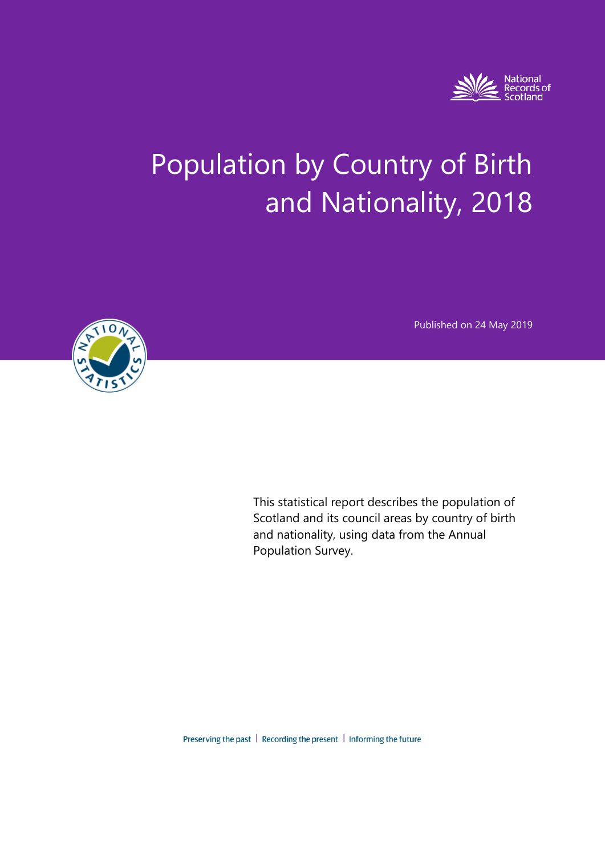

# Population by Country of Birth and Nationality, 2018

Published on 24 May 2019



This statistical report describes the population of Scotland and its council areas by country of birth and nationality, using data from the Annual Population Survey.

Preserving the past | Recording the present | Informing the future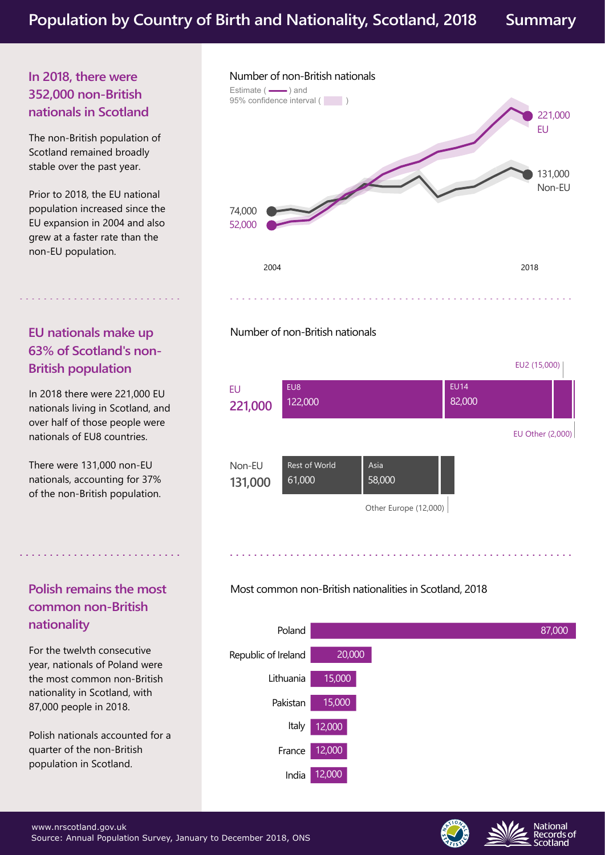## **In 2018, there were 352,000 non-British nationals in Scotland**

The non-British population of Scotland remained broadly stable over the past year.

Prior to 2018, the EU national population increased since the EU expansion in 2004 and also grew at a faster rate than the non-EU population.

# **EU nationals make up 63% of Scotland's non-British population**

In 2018 there were 221,000 EU nationals living in Scotland, and over half of those people were nationals of EU8 countries.

There were 131,000 non-EU nationals, accounting for 37% of the non-British population.

# **Polish remains the most common non-British nationality**

For the twelvth consecutive year, nationals of Poland were the most common non-British nationality in Scotland, with 87,000 people in 2018.

Polish nationals accounted for a quarter of the non-British population in Scotland.



Number of non-British nationals





## Most common non-British nationalities in Scotland, 2018





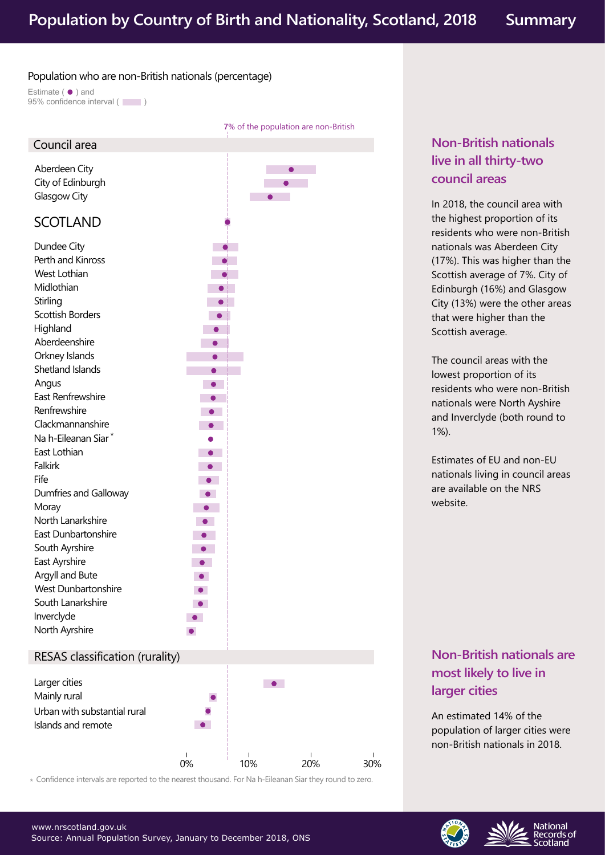#### Population who are non-British nationals (percentage)

Estimate  $($   $\bullet$   $)$  and 95% confidence interval (



Confidence intervals are reported to the nearest thousand. For Na h-Eileanan Siar they round to zero. \*

# **Non-British nationals live in all thirty-two council areas**

In 2018, the council area with the highest proportion of its residents who were non-British nationals was Aberdeen City (17%). This was higher than the Scottish average of 7%. City of Edinburgh (16%) and Glasgow City (13%) were the other areas that were higher than the Scottish average.

The council areas with the lowest proportion of its residents who were non-British nationals were North Ayshire and Inverclyde (both round to 1%).

Estimates of EU and non-EU nationals living in council areas are available on the NRS website.

# **Non-British nationals are most likely to live in larger cities**

An estimated 14% of the population of larger cities were non-British nationals in 2018.

> **National** Records of

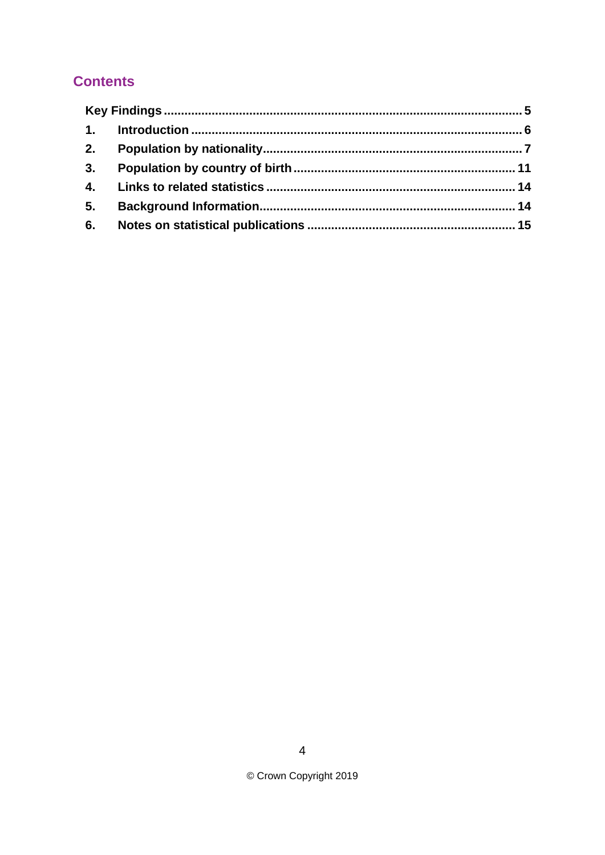# **Contents**

| 2. |  |  |
|----|--|--|
| 3. |  |  |
|    |  |  |
| 5. |  |  |
| 6. |  |  |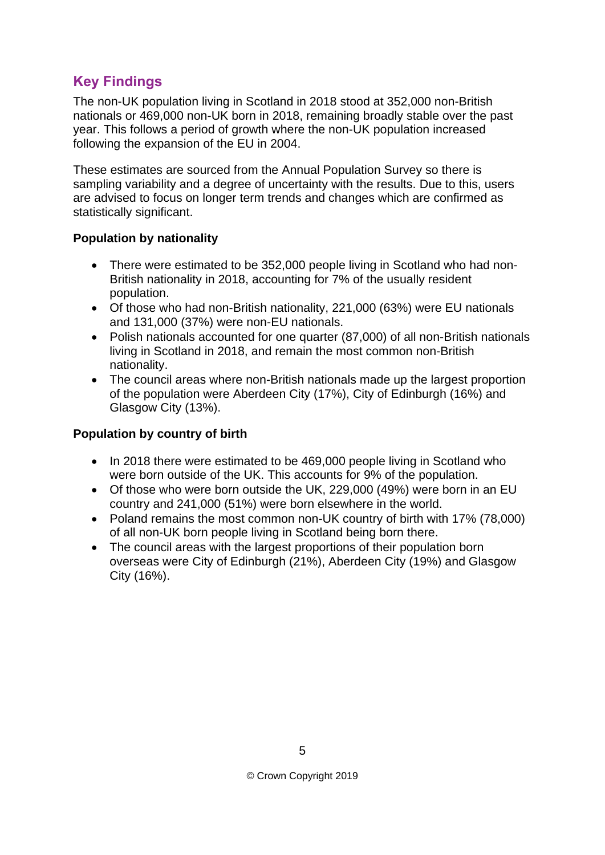# <span id="page-4-0"></span>**Key Findings**

The non-UK population living in Scotland in 2018 stood at 352,000 non-British nationals or 469,000 non-UK born in 2018, remaining broadly stable over the past year. This follows a period of growth where the non-UK population increased following the expansion of the EU in 2004.

These estimates are sourced from the Annual Population Survey so there is sampling variability and a degree of uncertainty with the results. Due to this, users are advised to focus on longer term trends and changes which are confirmed as statistically significant.

## **Population by nationality**

- There were estimated to be 352,000 people living in Scotland who had non-British nationality in 2018, accounting for 7% of the usually resident population.
- Of those who had non-British nationality, 221,000 (63%) were EU nationals and 131,000 (37%) were non-EU nationals.
- Polish nationals accounted for one quarter (87,000) of all non-British nationals living in Scotland in 2018, and remain the most common non-British nationality.
- The council areas where non-British nationals made up the largest proportion of the population were Aberdeen City (17%), City of Edinburgh (16%) and Glasgow City (13%).

## **Population by country of birth**

- In 2018 there were estimated to be 469,000 people living in Scotland who were born outside of the UK. This accounts for 9% of the population.
- Of those who were born outside the UK, 229,000 (49%) were born in an EU country and 241,000 (51%) were born elsewhere in the world.
- Poland remains the most common non-UK country of birth with 17% (78,000) of all non-UK born people living in Scotland being born there.
- The council areas with the largest proportions of their population born overseas were City of Edinburgh (21%), Aberdeen City (19%) and Glasgow City (16%).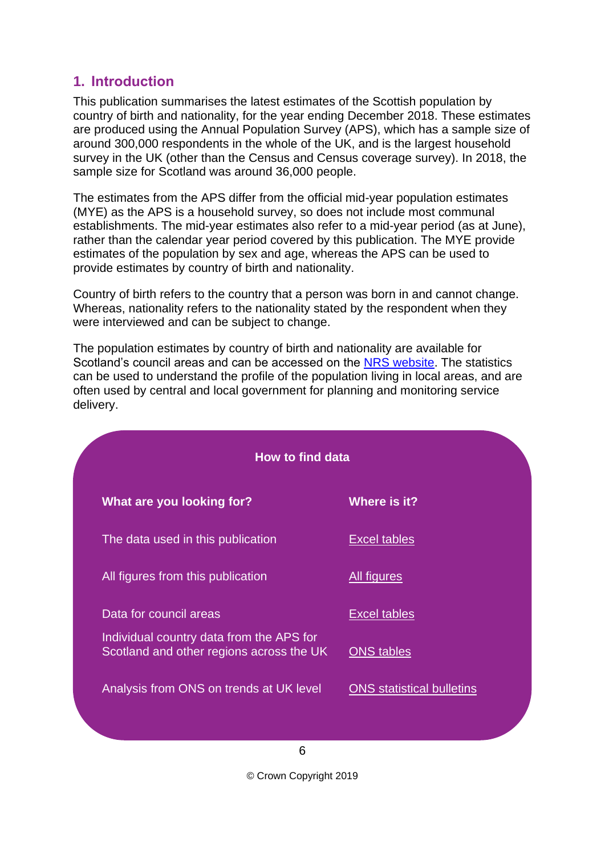# <span id="page-5-0"></span>**1. Introduction**

This publication summarises the latest estimates of the Scottish population by country of birth and nationality, for the year ending December 2018. These estimates are produced using the Annual Population Survey (APS), which has a sample size of around 300,000 respondents in the whole of the UK, and is the largest household survey in the UK (other than the Census and Census coverage survey). In 2018, the sample size for Scotland was around 36,000 people.

The estimates from the APS differ from the official mid-year population estimates (MYE) as the APS is a household survey, so does not include most communal establishments. The mid-year estimates also refer to a mid-year period (as at June), rather than the calendar year period covered by this publication. The MYE provide estimates of the population by sex and age, whereas the APS can be used to provide estimates by country of birth and nationality.

Country of birth refers to the country that a person was born in and cannot change. Whereas, nationality refers to the nationality stated by the respondent when they were interviewed and can be subject to change.

The population estimates by country of birth and nationality are available for Scotland's council areas and can be accessed on the [NRS website.](https://www.nrscotland.gov.uk/statistics-and-data/statistics/statistics-by-theme/population/population-estimates/population-by-country-of-birth-and-nationality) The statistics can be used to understand the profile of the population living in local areas, and are often used by central and local government for planning and monitoring service delivery.

| <b>How to find data</b>                                                              |                                  |  |  |
|--------------------------------------------------------------------------------------|----------------------------------|--|--|
| What are you looking for?                                                            | Where is it?                     |  |  |
| The data used in this publication                                                    | Excel tables                     |  |  |
| All figures from this publication                                                    | <b>All figures</b>               |  |  |
| Data for council areas                                                               | Excel tables                     |  |  |
| Individual country data from the APS for<br>Scotland and other regions across the UK | <b>ONS</b> tables                |  |  |
| Analysis from ONS on trends at UK level                                              | <b>ONS</b> statistical bulletins |  |  |
|                                                                                      |                                  |  |  |

6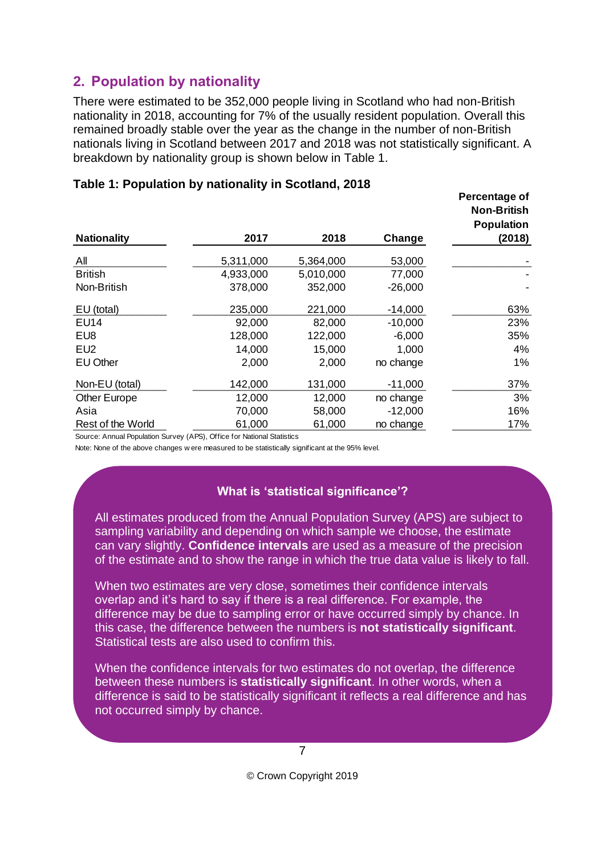# <span id="page-6-0"></span>**2. Population by nationality**

There were estimated to be 352,000 people living in Scotland who had non-British nationality in 2018, accounting for 7% of the usually resident population. Overall this remained broadly stable over the year as the change in the number of non-British nationals living in Scotland between 2017 and 2018 was not statistically significant. A breakdown by nationality group is shown below in Table 1.

|                                                                        |           |           |           | Percentage of<br><b>Non-British</b><br><b>Population</b> |
|------------------------------------------------------------------------|-----------|-----------|-----------|----------------------------------------------------------|
| <b>Nationality</b>                                                     | 2017      | 2018      | Change    | (2018)                                                   |
| All                                                                    | 5,311,000 | 5,364,000 | 53,000    |                                                          |
| <b>British</b>                                                         | 4,933,000 | 5,010,000 | 77,000    |                                                          |
| Non-British                                                            | 378,000   | 352,000   | $-26,000$ |                                                          |
| EU (total)                                                             | 235,000   | 221,000   | $-14,000$ | 63%                                                      |
| <b>EU14</b>                                                            | 92,000    | 82,000    | $-10,000$ | 23%                                                      |
| EU8                                                                    | 128,000   | 122,000   | $-6,000$  | 35%                                                      |
| EU2                                                                    | 14,000    | 15,000    | 1,000     | 4%                                                       |
| <b>EU Other</b>                                                        | 2,000     | 2,000     | no change | 1%                                                       |
| Non-EU (total)                                                         | 142,000   | 131,000   | $-11,000$ | 37%                                                      |
| <b>Other Europe</b>                                                    | 12,000    | 12,000    | no change | 3%                                                       |
| Asia                                                                   | 70,000    | 58,000    | $-12,000$ | 16%                                                      |
| Rest of the World                                                      | 61,000    | 61,000    | no change | 17%                                                      |
| Source: Annual Population Survey (APS), Office for National Statistics |           |           |           |                                                          |

### **Table 1: Population by nationality in Scotland, 2018**

Note: None of the above changes w ere measured to be statistically significant at the 95% level.

## **What is 'statistical significance'?**

All estimates produced from the Annual Population Survey (APS) are subject to sampling variability and depending on which sample we choose, the estimate can vary slightly. **Confidence intervals** are used as a measure of the precision of the estimate and to show the range in which the true data value is likely to fall.

When two estimates are very close, sometimes their confidence intervals overlap and it's hard to say if there is a real difference. For example, the difference may be due to sampling error or have occurred simply by chance. In this case, the difference between the numbers is **not statistically significant**. Statistical tests are also used to confirm this.

When the confidence intervals for two estimates do not overlap, the difference between these numbers is **statistically significant**. In other words, when a difference is said to be statistically significant it reflects a real difference and has not occurred simply by chance.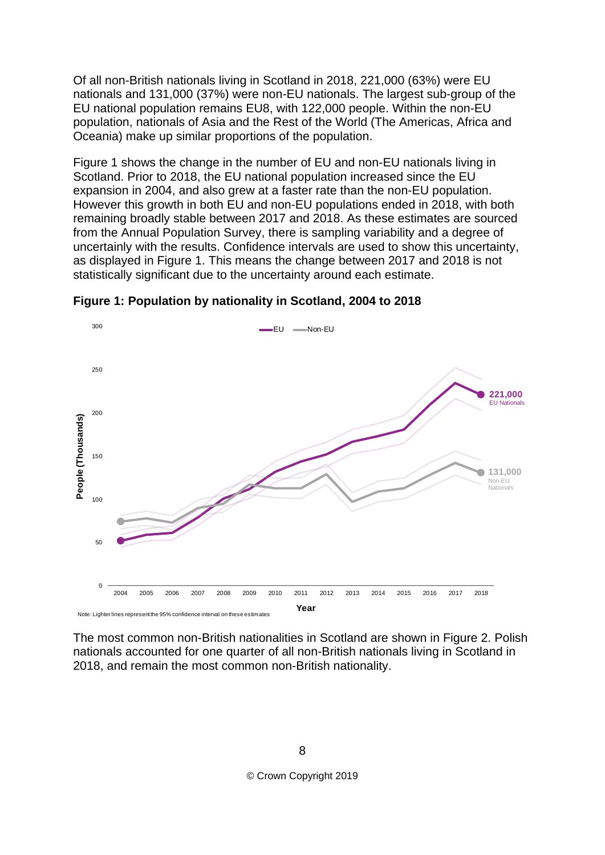Of all non-British nationals living in Scotland in 2018, 221,000 (63%) were EU nationals and 131,000 (37%) were non-EU nationals. The largest sub-group of the EU national population remains EU8, with 122,000 people. Within the non-EU population, nationals of Asia and the Rest of the World (The Americas, Africa and Oceania) make up similar proportions of the population.

Figure 1 shows the change in the number of EU and non-EU nationals living in Scotland. Prior to 2018, the EU national population increased since the EU expansion in 2004, and also grew at a faster rate than the non-EU population. However this growth in both EU and non-EU populations ended in 2018, with both remaining broadly stable between 2017 and 2018. As these estimates are sourced from the Annual Population Survey, there is sampling variability and a degree of uncertainly with the results. Confidence intervals are used to show this uncertainty, as displayed in Figure 1. This means the change between 2017 and 2018 is not statistically significant due to the uncertainty around each estimate.



**Figure 1: Population by nationality in Scotland, 2004 to 2018**

The most common non-British nationalities in Scotland are shown in Figure 2. Polish nationals accounted for one quarter of all non-British nationals living in Scotland in 2018, and remain the most common non-British nationality.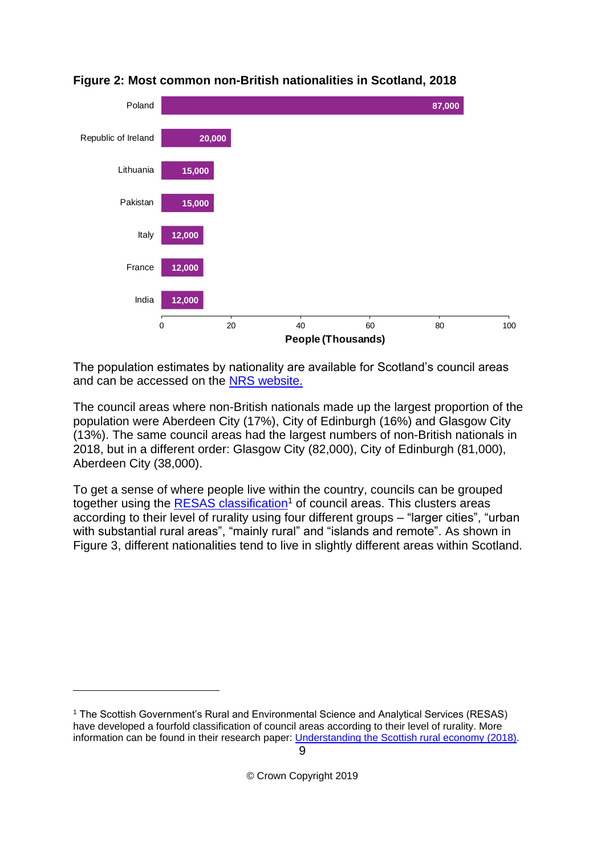

#### **Figure 2: Most common non-British nationalities in Scotland, 2018**

The population estimates by nationality are available for Scotland's council areas and can be accessed on the [NRS website.](https://www.nrscotland.gov.uk/statistics-and-data/statistics/statistics-by-theme/population/population-estimates/population-by-country-of-birth-and-nationality)

The council areas where non-British nationals made up the largest proportion of the population were Aberdeen City (17%), City of Edinburgh (16%) and Glasgow City (13%). The same council areas had the largest numbers of non-British nationals in 2018, but in a different order: Glasgow City (82,000), City of Edinburgh (81,000), Aberdeen City (38,000).

To get a sense of where people live within the country, councils can be grouped together using the [RESAS classification](https://www.gov.scot/publications/understanding-scottish-rural-economy/pages/13/)<sup>1</sup> of council areas. This clusters areas according to their level of rurality using four different groups – "larger cities", "urban with substantial rural areas", "mainly rural" and "islands and remote". As shown in Figure 3, different nationalities tend to live in slightly different areas within Scotland.

1

<sup>1</sup> The Scottish Government's Rural and Environmental Science and Analytical Services (RESAS) have developed a fourfold classification of council areas according to their level of rurality. More information can be found in their research paper: [Understanding the Scottish rural economy \(2018\).](https://www.gov.scot/publications/understanding-scottish-rural-economy/)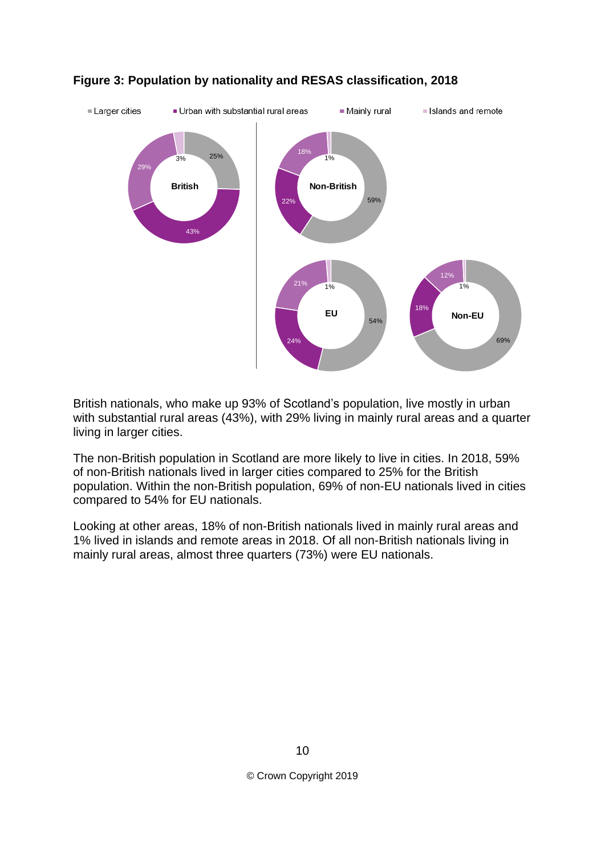

## **Figure 3: Population by nationality and RESAS classification, 2018**

British nationals, who make up 93% of Scotland's population, live mostly in urban with substantial rural areas (43%), with 29% living in mainly rural areas and a quarter living in larger cities.

The non-British population in Scotland are more likely to live in cities. In 2018, 59% of non-British nationals lived in larger cities compared to 25% for the British population. Within the non-British population, 69% of non-EU nationals lived in cities compared to 54% for EU nationals.

Looking at other areas, 18% of non-British nationals lived in mainly rural areas and 1% lived in islands and remote areas in 2018. Of all non-British nationals living in mainly rural areas, almost three quarters (73%) were EU nationals.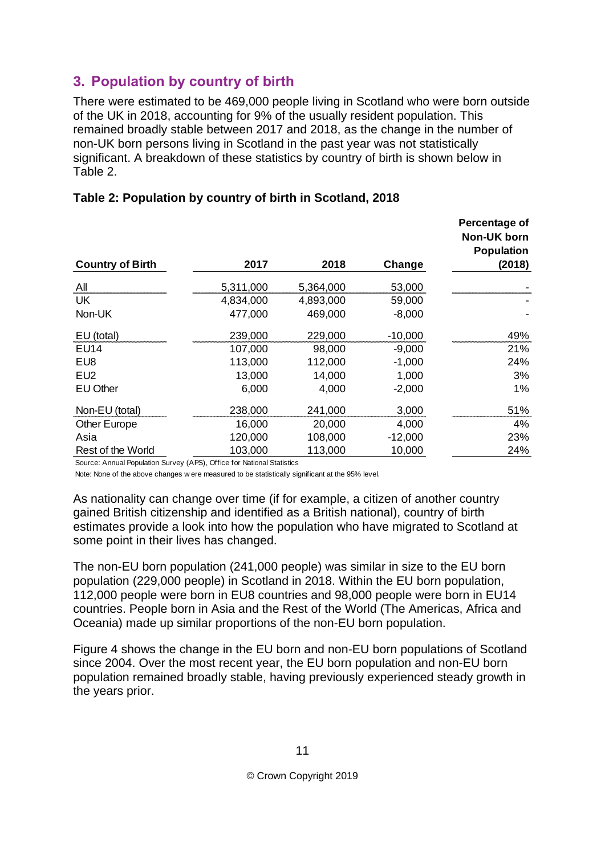# <span id="page-10-0"></span>**3. Population by country of birth**

There were estimated to be 469,000 people living in Scotland who were born outside of the UK in 2018, accounting for 9% of the usually resident population. This remained broadly stable between 2017 and 2018, as the change in the number of non-UK born persons living in Scotland in the past year was not statistically significant. A breakdown of these statistics by country of birth is shown below in Table 2.

| <b>Country of Birth</b> | 2017      | 2018      | Change    | Percentage of<br><b>Non-UK born</b><br><b>Population</b><br>(2018) |
|-------------------------|-----------|-----------|-----------|--------------------------------------------------------------------|
| All                     | 5,311,000 | 5,364,000 | 53,000    |                                                                    |
| UK                      | 4,834,000 | 4,893,000 | 59,000    |                                                                    |
| Non-UK                  | 477,000   | 469,000   | $-8,000$  |                                                                    |
| EU (total)              | 239,000   | 229,000   | $-10,000$ | 49%                                                                |
| <b>EU14</b>             | 107,000   | 98,000    | $-9,000$  | 21%                                                                |
| EU8                     | 113,000   | 112,000   | $-1,000$  | 24%                                                                |
| EU <sub>2</sub>         | 13,000    | 14,000    | 1,000     | 3%                                                                 |
| <b>EU Other</b>         | 6,000     | 4,000     | $-2,000$  | 1%                                                                 |
| Non-EU (total)          | 238,000   | 241,000   | 3,000     | 51%                                                                |
| Other Europe            | 16,000    | 20,000    | 4,000     | 4%                                                                 |
| Asia                    | 120,000   | 108,000   | $-12,000$ | 23%                                                                |
| Rest of the World       | 103,000   | 113,000   | 10,000    | 24%                                                                |

## **Table 2: Population by country of birth in Scotland, 2018**

Source: Annual Population Survey (APS), Office for National Statistics

Note: None of the above changes w ere measured to be statistically significant at the 95% level.

As nationality can change over time (if for example, a citizen of another country gained British citizenship and identified as a British national), country of birth estimates provide a look into how the population who have migrated to Scotland at some point in their lives has changed.

The non-EU born population (241,000 people) was similar in size to the EU born population (229,000 people) in Scotland in 2018. Within the EU born population, 112,000 people were born in EU8 countries and 98,000 people were born in EU14 countries. People born in Asia and the Rest of the World (The Americas, Africa and Oceania) made up similar proportions of the non-EU born population.

Figure 4 shows the change in the EU born and non-EU born populations of Scotland since 2004. Over the most recent year, the EU born population and non-EU born population remained broadly stable, having previously experienced steady growth in the years prior.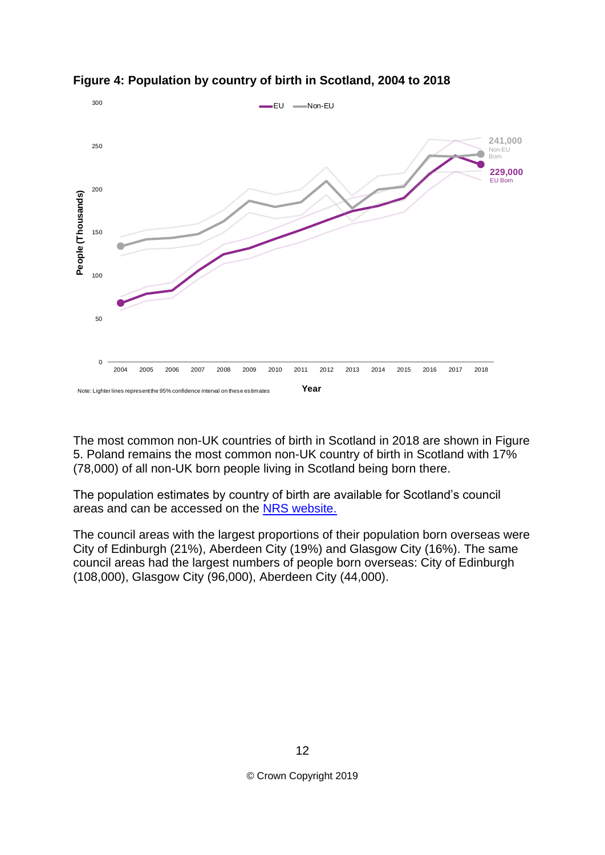

**Figure 4: Population by country of birth in Scotland, 2004 to 2018**

The most common non-UK countries of birth in Scotland in 2018 are shown in Figure 5. Poland remains the most common non-UK country of birth in Scotland with 17% (78,000) of all non-UK born people living in Scotland being born there.

The population estimates by country of birth are available for Scotland's council areas and can be accessed on the [NRS website.](https://www.nrscotland.gov.uk/statistics-and-data/statistics/statistics-by-theme/population/population-estimates/population-by-country-of-birth-and-nationality)

The council areas with the largest proportions of their population born overseas were City of Edinburgh (21%), Aberdeen City (19%) and Glasgow City (16%). The same council areas had the largest numbers of people born overseas: City of Edinburgh (108,000), Glasgow City (96,000), Aberdeen City (44,000).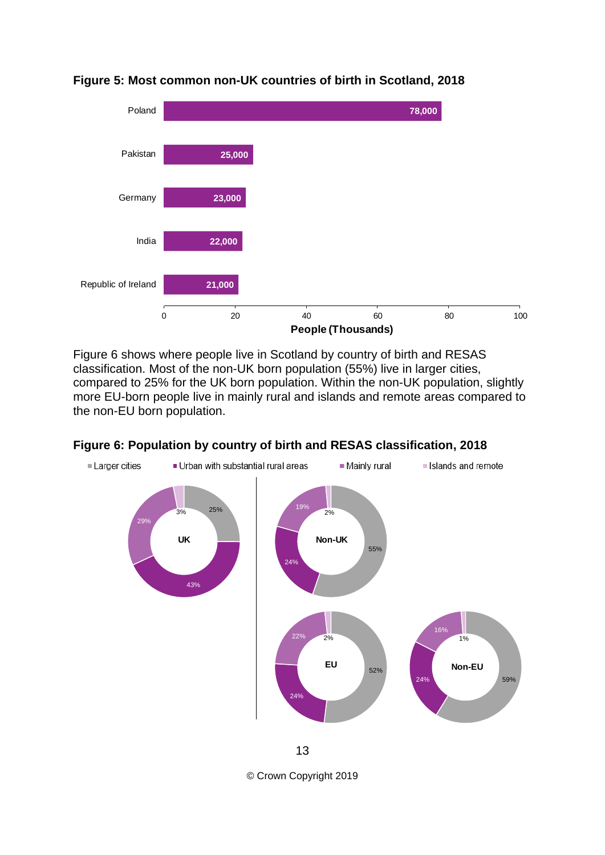

## **Figure 5: Most common non-UK countries of birth in Scotland, 2018**

Figure 6 shows where people live in Scotland by country of birth and RESAS classification. Most of the non-UK born population (55%) live in larger cities, compared to 25% for the UK born population. Within the non-UK population, slightly more EU-born people live in mainly rural and islands and remote areas compared to the non-EU born population.

![](_page_12_Figure_3.jpeg)

#### **Figure 6: Population by country of birth and RESAS classification, 2018**

© Crown Copyright 2019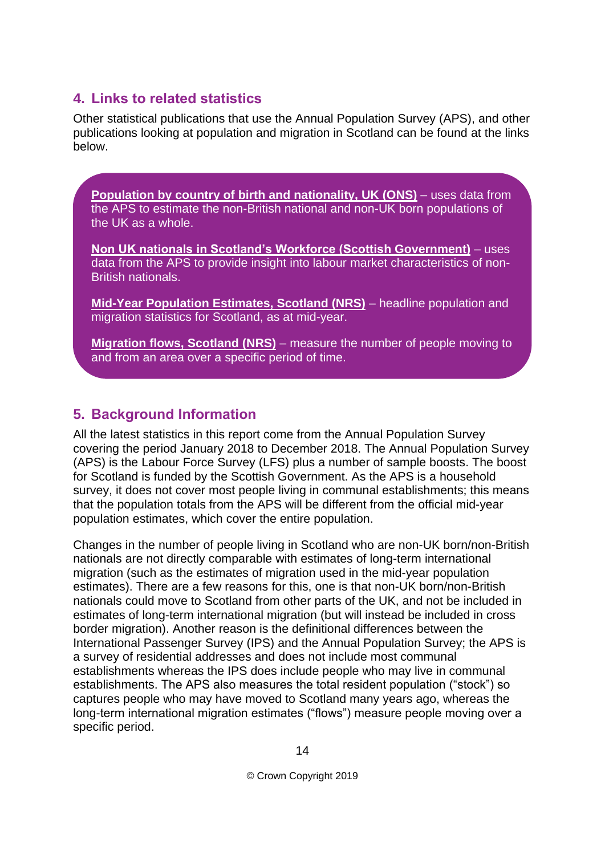# <span id="page-13-0"></span>**4. Links to related statistics**

Other statistical publications that use the Annual Population Survey (APS), and other publications looking at population and migration in Scotland can be found at the links below.

**[Population by country of birth and nationality, UK \(ONS\)](https://www.ons.gov.uk/peoplepopulationandcommunity/populationandmigration/internationalmigration/bulletins/ukpopulationbycountryofbirthandnationality/previousReleases)** – uses data from the APS to estimate the non-British national and non-UK born populations of the UK as a whole.

**[Non UK nationals in Scotland's Workforce \(Scottish Government\)](https://www2.gov.scot/Topics/Statistics/Browse/Labour-Market/Publications-Topical)** – uses data from the APS to provide insight into labour market characteristics of non-British nationals.

**[Mid-Year Population Estimates, Scotland \(NRS\)](https://www.nrscotland.gov.uk/statistics-and-data/statistics/statistics-by-theme/population/population-estimates/mid-year-population-estimates)** – headline population and migration statistics for Scotland, as at mid-year.

**[Migration flows, Scotland \(NRS\)](https://www.nrscotland.gov.uk/statistics-and-data/statistics/statistics-by-theme/migration/migration-statistics/migration-flows)** – measure the number of people moving to and from an area over a specific period of time.

# <span id="page-13-1"></span>**5. Background Information**

All the latest statistics in this report come from the Annual Population Survey covering the period January 2018 to December 2018. The Annual Population Survey (APS) is the Labour Force Survey (LFS) plus a number of sample boosts. The boost for Scotland is funded by the Scottish Government. As the APS is a household survey, it does not cover most people living in communal establishments; this means that the population totals from the APS will be different from the official mid-year population estimates, which cover the entire population.

Changes in the number of people living in Scotland who are non-UK born/non-British nationals are not directly comparable with estimates of long-term international migration (such as the estimates of migration used in the mid-year population estimates). There are a few reasons for this, one is that non-UK born/non-British nationals could move to Scotland from other parts of the UK, and not be included in estimates of long-term international migration (but will instead be included in cross border migration). Another reason is the definitional differences between the International Passenger Survey (IPS) and the Annual Population Survey; the APS is a survey of residential addresses and does not include most communal establishments whereas the IPS does include people who may live in communal establishments. The APS also measures the total resident population ("stock") so captures people who may have moved to Scotland many years ago, whereas the long-term international migration estimates ("flows") measure people moving over a specific period.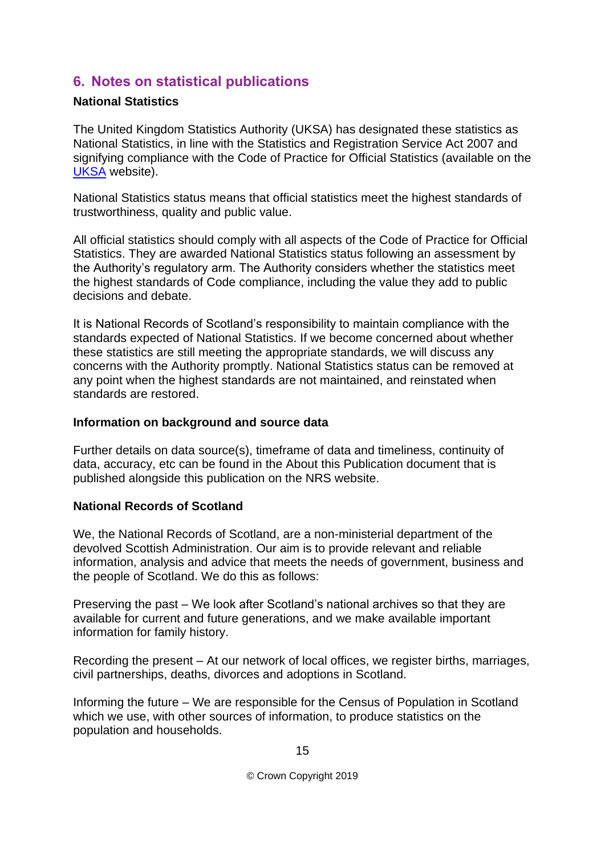## <span id="page-14-0"></span>**6. Notes on statistical publications**

## **National Statistics**

The United Kingdom Statistics Authority (UKSA) has designated these statistics as National Statistics, in line with the Statistics and Registration Service Act 2007 and signifying compliance with the Code of Practice for Official Statistics (available on the [UKSA](http://www.statisticsauthority.gov.uk/assessment/code-of-practice) website).

National Statistics status means that official statistics meet the highest standards of trustworthiness, quality and public value.

All official statistics should comply with all aspects of the Code of Practice for Official Statistics. They are awarded National Statistics status following an assessment by the Authority's regulatory arm. The Authority considers whether the statistics meet the highest standards of Code compliance, including the value they add to public decisions and debate.

It is National Records of Scotland's responsibility to maintain compliance with the standards expected of National Statistics. If we become concerned about whether these statistics are still meeting the appropriate standards, we will discuss any concerns with the Authority promptly. National Statistics status can be removed at any point when the highest standards are not maintained, and reinstated when standards are restored.

#### **Information on background and source data**

Further details on data source(s), timeframe of data and timeliness, continuity of data, accuracy, etc can be found in the About this Publication document that is published alongside this publication on the NRS website.

#### **National Records of Scotland**

We, the National Records of Scotland, are a non-ministerial department of the devolved Scottish Administration. Our aim is to provide relevant and reliable information, analysis and advice that meets the needs of government, business and the people of Scotland. We do this as follows:

Preserving the past – We look after Scotland's national archives so that they are available for current and future generations, and we make available important information for family history.

Recording the present – At our network of local offices, we register births, marriages, civil partnerships, deaths, divorces and adoptions in Scotland.

Informing the future – We are responsible for the Census of Population in Scotland which we use, with other sources of information, to produce statistics on the population and households.